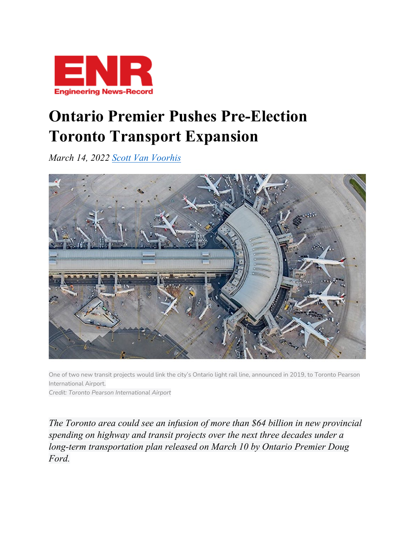

## **Ontario Premier Pushes Pre-Election Toronto Transport Expansion**

*March 14, 2022 [Scott Van Voorhis](https://www.enr.com/authors/134-scott-van-voorhis)*



One of two new transit projects would link the city's Ontario light rail line, announced in 2019, to Toronto Pearson International Airport.

*Credit: Toronto Pearson International Airport*

*The Toronto area could see an infusion of more than \$64 billion in new provincial spending on highway and transit projects over the next three decades under a long-term transportation plan released on March 10 by Ontario Premier Doug Ford.*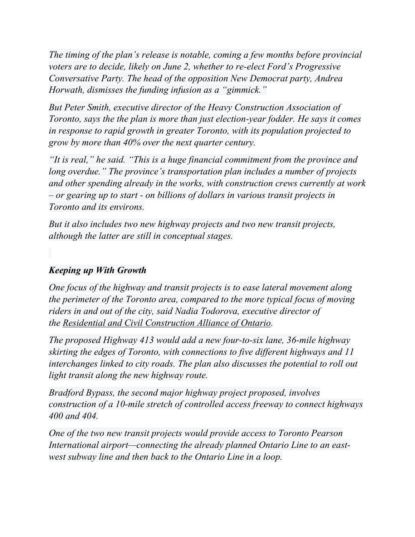*The timing of the plan's release is notable, coming a few months before provincial voters are to decide, likely on June 2, whether to re-elect Ford's Progressive Conversative Party. The head of the opposition New Democrat party, Andrea Horwath, dismisses the funding infusion as a "gimmick."*

*But Peter Smith, executive director of the Heavy Construction Association of Toronto, says the the plan is more than just election-year fodder. He says it comes in response to rapid growth in greater Toronto, with its population projected to grow by more than 40% over the next quarter century.*

*"It is real," he said. "This is a huge financial commitment from the province and long overdue." The province's transportation plan includes a number of projects and other spending already in the works, with construction crews currently at work – or gearing up to start - on billions of dollars in various transit projects in Toronto and its environs.*

*But it also includes two new highway projects and two new transit projects, although the latter are still in conceptual stages.*

## *Keeping up With Growth*

*One focus of the highway and transit projects is to ease lateral movement along the perimeter of the Toronto area, compared to the more typical focus of moving riders in and out of the city, said Nadia Todorova, executive director of the [Residential and Civil Construction Alliance of Ontario.](http://rccao.com/)*

*The proposed Highway 413 would add a new four-to-six lane, 36-mile highway skirting the edges of Toronto, with connections to five different highways and 11 interchanges linked to city roads. The plan also discusses the potential to roll out light transit along the new highway route.*

*Bradford Bypass, the second major highway project proposed, involves construction of a 10-mile stretch of controlled access freeway to connect highways 400 and 404.*

*One of the two new transit projects would provide access to Toronto Pearson International airport—connecting the already planned Ontario Line to an eastwest subway line and then back to the Ontario Line in a loop.*